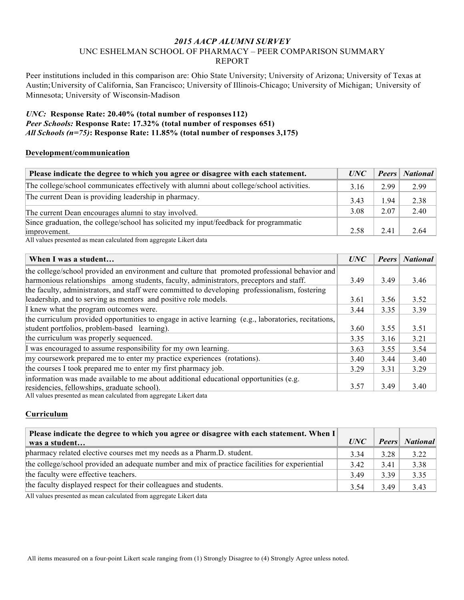# *2015 AACP ALUMNI SURVEY* UNC ESHELMAN SCHOOL OF PHARMACY – PEER COMPARISON SUMMARY REPORT

Peer institutions included in this comparison are: Ohio State University; University of Arizona; University of Texas at Austin;University of California, San Francisco; University of Illinois-Chicago; University of Michigan; University of Minnesota; University of Wisconsin-Madison

## *UNC:* **Response Rate: 20.40% (total number of responses112)** *Peer Schools:* **Response Rate: 17.32% (total number of responses 651)** *All Schools (n=75)***: Response Rate: 11.85% (total number of responses 3,175)**

## **Development/communication**

| Please indicate the degree to which you agree or disagree with each statement.           |      |      | <b>Peers</b> National |
|------------------------------------------------------------------------------------------|------|------|-----------------------|
| The college/school communicates effectively with alumni about college/school activities. | 3.16 | 2.99 | 2.99                  |
| The current Dean is providing leadership in pharmacy.                                    | 3.43 | ⊟94  | 2.38                  |
| The current Dean encourages alumni to stay involved.                                     | 3.08 | 2.07 | 2.40                  |
| Since graduation, the college/school has solicited my input/feedback for programmatic    |      |      |                       |
| improvement.                                                                             | 2.58 | 2.41 | 2.64                  |

All values presented as mean calculated from aggregate Likert data

| When I was a student                                                                                 | <b>UNC</b> | <b>Peers</b> | <b>National</b> |
|------------------------------------------------------------------------------------------------------|------------|--------------|-----------------|
| the college/school provided an environment and culture that promoted professional behavior and       |            |              |                 |
| harmonious relationships among students, faculty, administrators, preceptors and staff.              | 3.49       | 3.49         | 3.46            |
| the faculty, administrators, and staff were committed to developing professionalism, fostering       |            |              |                 |
| leadership, and to serving as mentors and positive role models.                                      | 3.61       | 3.56         | 3.52            |
| I knew what the program outcomes were.                                                               | 3.44       | 3.35         | 3.39            |
| the curriculum provided opportunities to engage in active learning (e.g., laboratories, recitations, |            |              |                 |
| student portfolios, problem-based learning).                                                         | 3.60       | 3.55         | 3.51            |
| the curriculum was properly sequenced.                                                               | 3.35       | 3.16         | 3.21            |
| I was encouraged to assume responsibility for my own learning.                                       | 3.63       | 3.55         | 3.54            |
| my coursework prepared me to enter my practice experiences (rotations).                              | 3.40       | 3.44         | 3.40            |
| the courses I took prepared me to enter my first pharmacy job.                                       | 3 2 9      | 3.31         | 3.29            |
| information was made available to me about additional educational opportunities (e.g.                |            |              |                 |
| residencies, fellowships, graduate school).                                                          | 3.57       | 3.49         | 3.40            |
| All values presented as mean calculated from aggregate Likert data                                   |            |              |                 |

#### **Curriculum**

| Please indicate the degree to which you agree or disagree with each statement. When I          |            |              |          |
|------------------------------------------------------------------------------------------------|------------|--------------|----------|
| was a student                                                                                  | <i>UNC</i> | <b>Peers</b> | National |
| pharmacy related elective courses met my needs as a Pharm.D. student.                          | 3.34       | 3.28         | 3.22     |
| the college/school provided an adequate number and mix of practice facilities for experiential | 3.42       | 3.41         | 3.38     |
| the faculty were effective teachers.                                                           | 3.49       | 3.39         | 3.35     |
| the faculty displayed respect for their colleagues and students.                               | 3.54       | 3.49         | 3.43     |
| . A 11 conflict a magnetic discussion of conflicted floors in a magnetic Trifts of discharge   |            |              |          |

All values presented as mean calculated from aggregate Likert data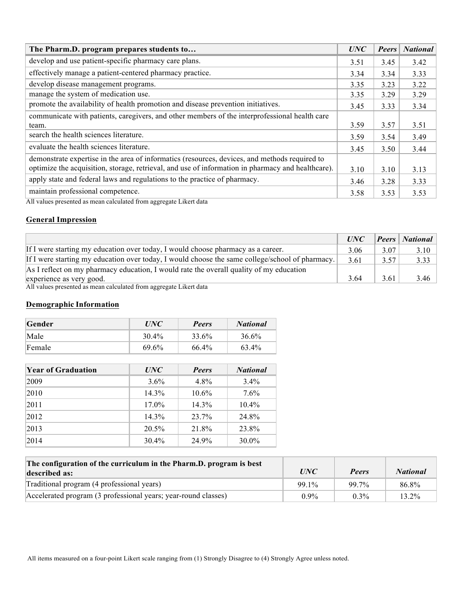| The Pharm.D. program prepares students to                                                                                                                                                                                                                                                     | UNC  | <b>Peers</b> | <b>National</b> |
|-----------------------------------------------------------------------------------------------------------------------------------------------------------------------------------------------------------------------------------------------------------------------------------------------|------|--------------|-----------------|
| develop and use patient-specific pharmacy care plans.                                                                                                                                                                                                                                         | 3.51 | 3.45         | 3.42            |
| effectively manage a patient-centered pharmacy practice.                                                                                                                                                                                                                                      | 3.34 | 3.34         | 3.33            |
| develop disease management programs.                                                                                                                                                                                                                                                          | 3.35 | 3.23         | 3.22            |
| manage the system of medication use.                                                                                                                                                                                                                                                          | 3.35 | 3.29         | 3.29            |
| promote the availability of health promotion and disease prevention initiatives.                                                                                                                                                                                                              | 3.45 | 3.33         | 3.34            |
| communicate with patients, caregivers, and other members of the interprofessional health care                                                                                                                                                                                                 |      |              |                 |
| team.                                                                                                                                                                                                                                                                                         | 3.59 | 3.57         | 3.51            |
| search the health sciences literature.                                                                                                                                                                                                                                                        | 3.59 | 3.54         | 3.49            |
| evaluate the health sciences literature.                                                                                                                                                                                                                                                      | 3.45 | 3.50         | 3.44            |
| demonstrate expertise in the area of informatics (resources, devices, and methods required to                                                                                                                                                                                                 |      |              |                 |
| optimize the acquisition, storage, retrieval, and use of information in pharmacy and healthcare).                                                                                                                                                                                             | 3.10 | 3.10         | 3.13            |
| apply state and federal laws and regulations to the practice of pharmacy.                                                                                                                                                                                                                     | 3.46 | 3.28         | 3.33            |
| maintain professional competence.<br>$\frac{1}{2}$ . The set of the set of the set of the set of the set of the set of the set of the set of the set of the set of the set of the set of the set of the set of the set of the set of the set of the set of the set of<br>$1 - 7 - 11 = 1 - 1$ | 3.58 | 3.53         | 3.53            |

All values presented as mean calculated from aggregate Likert data

## **General Impression**

|                                                                                                 | <i>UNC</i> |      | <b>Peers</b>   National |
|-------------------------------------------------------------------------------------------------|------------|------|-------------------------|
| If I were starting my education over today, I would choose pharmacy as a career.                | 3.06       | 3.07 | 3.10                    |
| If I were starting my education over today, I would choose the same college/school of pharmacy. | 3.61       | 3.57 | 3.33                    |
| As I reflect on my pharmacy education, I would rate the overall quality of my education         |            |      |                         |
| experience as very good.                                                                        | 3.64       | 3.61 | 3.46                    |

All values presented as mean calculated from aggregate Likert data

# **Demographic Information**

| Gender | <i>UNC</i> | <b>Peers</b> | <b>National</b> |
|--------|------------|--------------|-----------------|
| Male   | 30.4%      | 33.6%        | 36.6%           |
| Female | 69.6%      | 66.4%        | 63.4%           |

| <b>Year of Graduation</b> | UNC      | <b>Peers</b> | <b>National</b> |
|---------------------------|----------|--------------|-----------------|
| 2009                      | $3.6\%$  | $4.8\%$      | $3.4\%$         |
| 2010                      | $14.3\%$ | $10.6\%$     | $7.6\%$         |
| 2011                      | $17.0\%$ | $14.3\%$     | $10.4\%$        |
| 2012                      | $14.3\%$ | 23.7%        | 24.8%           |
| 2013                      | 20.5%    | 21.8%        | 23.8%           |
| 2014                      | 30.4%    | 24.9%        | $30.0\%$        |

| The configuration of the curriculum in the Pharm.D. program is best<br>described as: | <i>UNC</i> | <b>Peers</b> | <b>National</b> |
|--------------------------------------------------------------------------------------|------------|--------------|-----------------|
| Traditional program (4 professional years)                                           | 99 1%      | 99 7%        | 86.8%           |
| Accelerated program (3 professional years; year-round classes)                       | $0.9\%$    | $0.3\%$      | 13.2%           |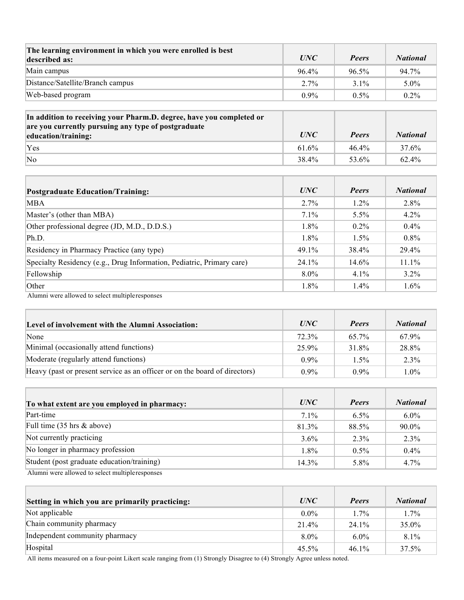| The learning environment in which you were enrolled is best<br>described as: | UNC     | <b>Peers</b> | <b>National</b> |
|------------------------------------------------------------------------------|---------|--------------|-----------------|
| Main campus                                                                  | 96.4%   | 96.5%        | 94.7%           |
| Distance/Satellite/Branch campus                                             | $2.7\%$ | $31\%$       | $5.0\%$         |
| Web-based program                                                            | $0.9\%$ | $0.5\%$      | $0.2\%$         |

| In addition to receiving your Pharm.D. degree, have you completed or<br>are you currently pursuing any type of postgraduate<br>education/training: | <i>UNC</i> | Peers    | <b>National</b> |
|----------------------------------------------------------------------------------------------------------------------------------------------------|------------|----------|-----------------|
| Yes                                                                                                                                                | 61.6%      | $46.4\%$ | 37.6%           |
| $\overline{\rm No}$                                                                                                                                | 38.4%      | 53.6%    | 62.4%           |

| <b>Postgraduate Education/Training:</b>                               | UNC      | <b>Peers</b> | <b>National</b> |
|-----------------------------------------------------------------------|----------|--------------|-----------------|
| MBA                                                                   | $2.7\%$  | $1.2\%$      | $2.8\%$         |
| Master's (other than MBA)                                             | $7.1\%$  | $5.5\%$      | $4.2\%$         |
| Other professional degree (JD, M.D., D.D.S.)                          | 1.8%     | $0.2\%$      | $0.4\%$         |
| Ph.D.                                                                 | 1.8%     | $1.5\%$      | $0.8\%$         |
| Residency in Pharmacy Practice (any type)                             | 49.1%    | 38.4%        | 29.4%           |
| Specialty Residency (e.g., Drug Information, Pediatric, Primary care) | $24.1\%$ | $14.6\%$     | 11.1%           |
| Fellowship                                                            | $8.0\%$  | $4.1\%$      | $3.2\%$         |
| Other                                                                 | 1.8%     | 1.4%         | 1.6%            |
| Alumni were allowed to select multiple responses                      |          |              |                 |

**Level of involvement with the Alumni Association:** *UNC Peers National* None 72.3% 65.7% 67.9% Minimal (occasionally attend functions) 25.9% 28.8% 28.8% Moderate (regularly attend functions)  $0.9\%$  1.5% 2.3% Heavy (past or present service as an officer or on the board of directors) 0.9% 0.9% 1.0%

| To what extent are you employed in pharmacy:     | UNC      | <b>Peers</b> | <b>National</b> |
|--------------------------------------------------|----------|--------------|-----------------|
| Part-time                                        | 7.1%     | $6.5\%$      | $6.0\%$         |
| Full time $(35 \text{ hrs} \& \text{above})$     | 81.3%    | 88.5%        | 90.0%           |
| Not currently practicing                         | $3.6\%$  | 2.3%         | 2.3%            |
| No longer in pharmacy profession                 | 1.8%     | $0.5\%$      | $0.4\%$         |
| Student (post graduate education/training)       | $14.3\%$ | 5.8%         | 4.7%            |
| Alumni were allowed to select multiple responses |          |              |                 |

| Setting in which you are primarily practicing: | UNC      | <b>Peers</b> | <b>National</b> |
|------------------------------------------------|----------|--------------|-----------------|
| Not applicable                                 | $0.0\%$  | $1.7\%$      | 1.7%            |
| Chain community pharmacy                       | 21.4%    | 24.1%        | 35.0%           |
| Independent community pharmacy                 | $8.0\%$  | $6.0\%$      | 8.1%            |
| Hospital                                       | $45.5\%$ | $46.1\%$     | 37.5%           |

All items measured on a four-point Likert scale ranging from (1) Strongly Disagree to (4) Strongly Agree unless noted.